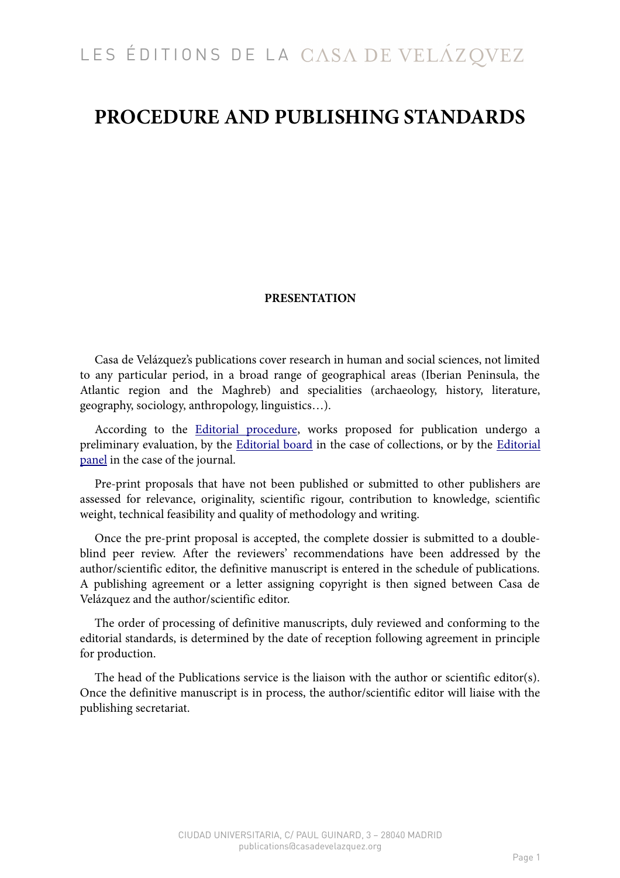# **PROCEDURE AND PUBLISHING STANDARDS**

## **PRESENTATION**

Casa de Velázquez's publications cover research in human and social sciences, not limited to any particular period, in a broad range of geographical areas (Iberian Peninsula, the Atlantic region and the Maghreb) and specialities (archaeology, history, literature, geography, sociology, anthropology, linguistics…).

According to the [Editorial procedure,](https://www.casadevelazquez.org/en/publications/submitting-a-proposal/editorial-procedure/) works proposed for publication undergo a preliminary evaluation, by the **Editorial board** in the case of collections, or by the **Editorial** [panel](https://www.casadevelazquez.org/en/publications/melanges-de-la-casa-de-velazquez/editorial-panel/) in the case of the journal.

Pre-print proposals that have not been published or submitted to other publishers are assessed for relevance, originality, scientific rigour, contribution to knowledge, scientific weight, technical feasibility and quality of methodology and writing.

Once the pre-print proposal is accepted, the complete dossier is submitted to a doubleblind peer review. After the reviewers' recommendations have been addressed by the author/scientific editor, the definitive manuscript is entered in the schedule of publications. A publishing agreement or a letter assigning copyright is then signed between Casa de Velázquez and the author/scientific editor.

The order of processing of definitive manuscripts, duly reviewed and conforming to the editorial standards, is determined by the date of reception following agreement in principle for production.

The head of the Publications service is the liaison with the author or scientific editor(s). Once the definitive manuscript is in process, the author/scientific editor will liaise with the publishing secretariat.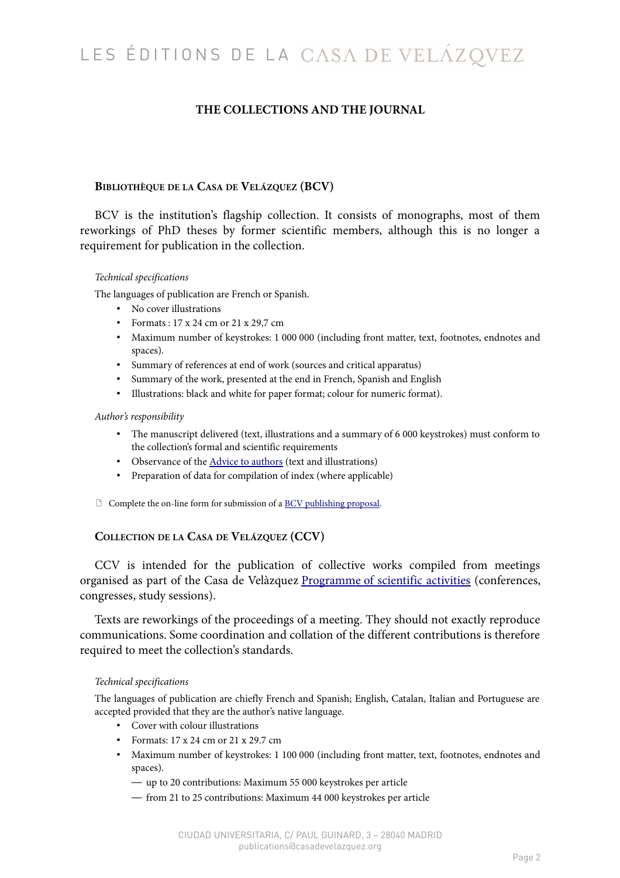# **THE COLLECTIONS AND THE JOURNAL**

## **BIBLIOTHÈQUE DE LA CASA DE VELÁZQUEZ (BCV)**

BCV is the institution's flagship collection. It consists of monographs, most of them reworkings of PhD theses by former scientific members, although this is no longer a requirement for publication in the collection.

### *Technical specifications*

The languages of publication are French or Spanish.

- No cover illustrations
- Formats : 17 x 24 cm or 21 x 29,7 cm
- Maximum number of keystrokes: 1 000 000 (including front matter, text, footnotes, endnotes and spaces).
- Summary of references at end of work (sources and critical apparatus)
- Summary of the work, presented at the end in French, Spanish and English
- Illustrations: black and white for paper format; colour for numeric format).

### *Author's responsibility*

- The manuscript delivered (text, illustrations and a summary of 6 000 keystrokes) must conform to the collection's formal and scientific requirements
- Observance of the **Advice to authors** (text and illustrations)
- Preparation of data for compilation of index (where applicable)
- $\Box$  Complete the on-line form for submission of a [BCV publishing proposal.](https://www.casadevelazquez.org/en/publications/submitting-a-proposal/submitting-a-bcv-proposal/)

## **COLLECTION DE LA CASA DE VELÁZQUEZ (CCV)**

CCV is intended for the publication of collective works compiled from meetings organised as part of the Casa de Velàzquez Programme [of scientific activities](https://www.casadevelazquez.org/fileadmin/fichiers/investigacion/Programmation_annuelle/EHEHI_2016_WEB_V7.pdf) (conferences, congresses, study sessions).

Texts are reworkings of the proceedings of a meeting. They should not exactly reproduce communications. Some coordination and collation of the different contributions is therefore required to meet the collection's standards.

### *Technical specifications*

The languages of publication are chiefly French and Spanish; English, Catalan, Italian and Portuguese are accepted provided that they are the author's native language.

- Cover with colour illustrations
- Formats: 17 x 24 cm or 21 x 29.7 cm
- Maximum number of keystrokes: 1 100 000 (including front matter, text, footnotes, endnotes and spaces).
	- up to 20 contributions: Maximum 55 000 keystrokes per article
	- from 21 to 25 contributions: Maximum 44 000 keystrokes per article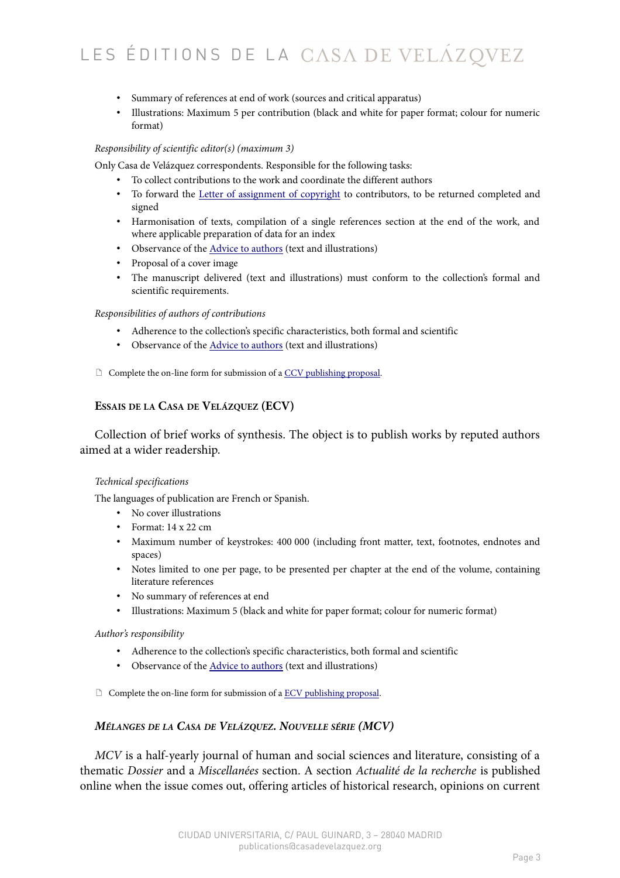- Summary of references at end of work (sources and critical apparatus)
- Illustrations: Maximum 5 per contribution (black and white for paper format; colour for numeric format)

### *Responsibility of scientific editor(s) (maximum 3)*

Only Casa de Velázquez correspondents. Responsible for the following tasks:

- To collect contributions to the work and coordinate the different authors
- To forward the [Letter of assignment of copyright](https://www.casadevelazquez.org/fileadmin/fichiers/publicaciones/Normes_annexes/EdCVZ_AccordCessionDroits_CCV.pdf) to contributors, to be returned completed and signed
- Harmonisation of texts, compilation of a single references section at the end of the work, and where applicable preparation of data for an index
- Observance of the [Advice to authors](https://www.casadevelazquez.org/en/publications/advice-to-authors/composition/) (text and illustrations)
- Proposal of a cover image
- The manuscript delivered (text and illustrations) must conform to the collection's formal and scientific requirements.

### *Responsibilities of authors of contributions*

- Adherence to the collection's specific characteristics, both formal and scientific
- Observance of the [Advice to authors](https://www.casadevelazquez.org/en/publications/advice-to-authors/composition/) (text and illustrations)
- $\Box$  Complete the on-line form for submission of a [CCV publishing proposal.](https://www.casadevelazquez.org/en/publications/submitting-a-proposal/submitting-a-ccv-proposal/)

## **ESSAIS DE LA CASA DE VELÁZQUEZ (ECV)**

Collection of brief works of synthesis. The object is to publish works by reputed authors aimed at a wider readership.

### *Technical specifications*

The languages of publication are French or Spanish.

- No cover illustrations
- Format: 14 x 22 cm
- Maximum number of keystrokes: 400 000 (including front matter, text, footnotes, endnotes and spaces)
- Notes limited to one per page, to be presented per chapter at the end of the volume, containing literature references
- No summary of references at end
- Illustrations: Maximum 5 (black and white for paper format; colour for numeric format)

### *Author's responsibility*

- Adherence to the collection's specific characteristics, both formal and scientific
- Observance of the **Advice to authors** (text and illustrations)
- $\Box$  Complete the on-line form for submission of a [ECV publishing proposal.](https://www.casadevelazquez.org/en/publications/submitting-a-proposal/submitting-a-ecv-proposal/)

## *MÉLANGES DE LA CASA DE VELÁZQUEZ. NOUVELLE SÉRIE (MCV)*

*MCV* is a half-yearly journal of human and social sciences and literature, consisting of a thematic *Dossier* and a *Miscellanées* section. A section *Actualité de la recherche* is published online when the issue comes out, offering articles of historical research, opinions on current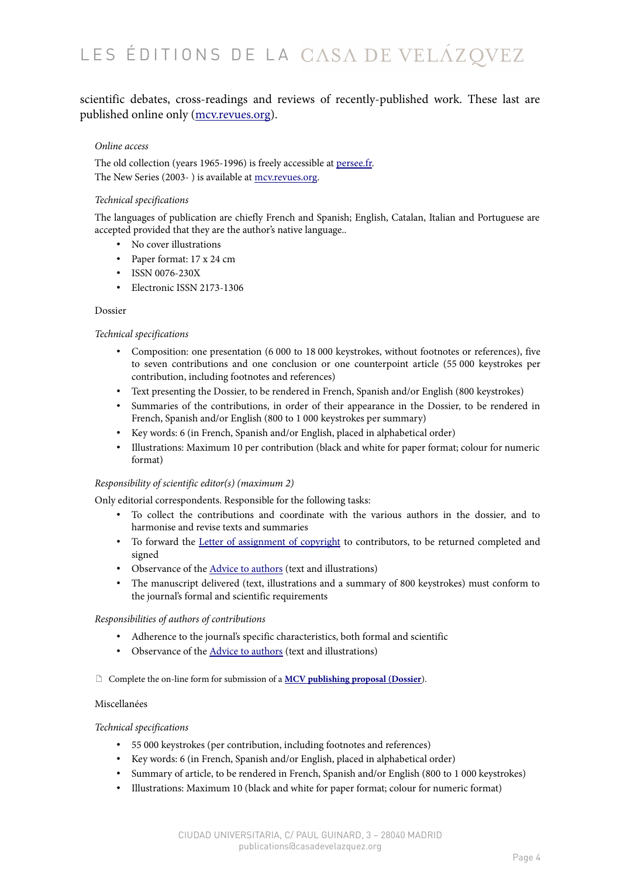# scientific debates, cross-readings and reviews of recently-published work. These last are published online only [\(mcv.revues.org\)](http://mcv.revues.org/).

### *Online access*

The old collection (years 1965-1996) is freely accessible at [persee.fr.](http://www.persee.fr/web/revues/home/prescript/revue/casa) The New Series (2003-) is available at [mcv.revues.org.](http://mcv.revues.org/)

### *Technical specifications*

The languages of publication are chiefly French and Spanish; English, Catalan, Italian and Portuguese are accepted provided that they are the author's native language..

- No cover illustrations
- Paper format: 17 x 24 cm
- ISSN 0076-230X
- Electronic ISSN 2173-1306

### Dossier

### *Technical specifications*

- Composition: one presentation (6 000 to 18 000 keystrokes, without footnotes or references), five to seven contributions and one conclusion or one counterpoint article (55 000 keystrokes per contribution, including footnotes and references)
- Text presenting the Dossier, to be rendered in French, Spanish and/or English (800 keystrokes)
- Summaries of the contributions, in order of their appearance in the Dossier, to be rendered in French, Spanish and/or English (800 to 1 000 keystrokes per summary)
- Key words: 6 (in French, Spanish and/or English, placed in alphabetical order)
- Illustrations: Maximum 10 per contribution (black and white for paper format; colour for numeric format)

### *Responsibility of scientific editor(s) (maximum 2)*

Only editorial correspondents. Responsible for the following tasks:

- To collect the contributions and coordinate with the various authors in the dossier, and to harmonise and revise texts and summaries
- To forward the [Letter of assignment of copyright](https://www.casadevelazquez.org/fileadmin/fichiers/publicaciones/Normes_annexes/EdCVZ_AccordCessionDroits_MCV.pdf) to contributors, to be returned completed and signed
- Observance of the **Advice to authors** (text and illustrations)
- The manuscript delivered (text, illustrations and a summary of 800 keystrokes) must conform to the journal's formal and scientific requirements

### *Responsibilities of authors of contributions*

- Adherence to the journal's specific characteristics, both formal and scientific
- Observance of the [Advice to authors](https://www.casadevelazquez.org/en/publications/advice-to-authors/composition/) (text and illustrations)
- Complete the on-line form for submission of a **[MCV publishing proposal \(Dossier](https://www.casadevelazquez.org/publications/soumission-dun-projet-editorial/projet-editorial-mcv/)**).

### Miscellanées

### *Technical specifications*

- 55 000 keystrokes (per contribution, including footnotes and references)
- Key words: 6 (in French, Spanish and/or English, placed in alphabetical order)
- Summary of article, to be rendered in French, Spanish and/or English (800 to 1 000 keystrokes)
- Illustrations: Maximum 10 (black and white for paper format; colour for numeric format)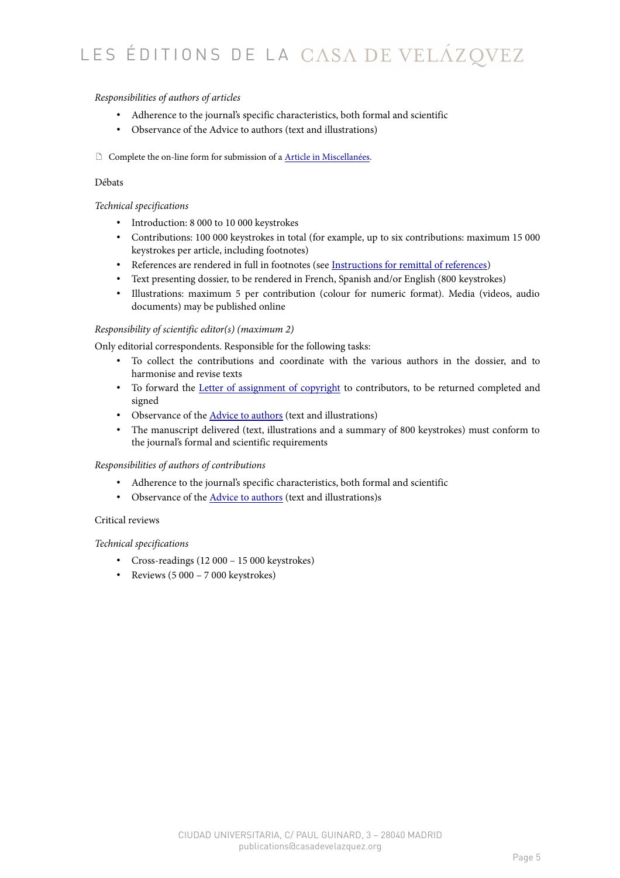### *Responsibilities of authors of articles*

- Adherence to the journal's specific characteristics, both formal and scientific
- Observance of the Advice to authors (text and illustrations)
- Complete the on-line form for submission of a [Article in Miscellanées.](https://www.casadevelazquez.org/en/publications/submitting-a-proposal/submission-of-an-article-for-miscellanees/)

### Débats

### *Technical specifications*

- Introduction: 8 000 to 10 000 keystrokes
- Contributions: 100 000 keystrokes in total (for example, up to six contributions: maximum 15 000 keystrokes per article, including footnotes)
- References are rendered in full in footnotes (see [Instructions for remittal of references\)](https://www.casadevelazquez.org/en/publications/advice-to-authors/bibliographical-references/)
- Text presenting dossier, to be rendered in French, Spanish and/or English (800 keystrokes)
- Illustrations: maximum 5 per contribution (colour for numeric format). Media (videos, audio documents) may be published online

### *Responsibility of scientific editor(s) (maximum 2)*

Only editorial correspondents. Responsible for the following tasks:

- To collect the contributions and coordinate with the various authors in the dossier, and to harmonise and revise texts
- To forward the [Letter of assignment of copyright](https://www.casadevelazquez.org/fileadmin/fichiers/publicaciones/Normes_annexes/EdCVZ_AccordCessionDroits_MCV.pdf) to contributors, to be returned completed and signed
- Observance of the [Advice to authors](https://www.casadevelazquez.org/en/publications/advice-to-authors/composition/) (text and illustrations)
- The manuscript delivered (text, illustrations and a summary of 800 keystrokes) must conform to the journal's formal and scientific requirements

### *Responsibilities of authors of contributions*

- Adherence to the journal's specific characteristics, both formal and scientific
- Observance of the [Advice to authors](https://www.casadevelazquez.org/en/publications/advice-to-authors/composition/) (text and illustrations)s

### Critical reviews

### *Technical specifications*

- Cross-readings (12 000 15 000 keystrokes)
- Reviews (5 000 7 000 keystrokes)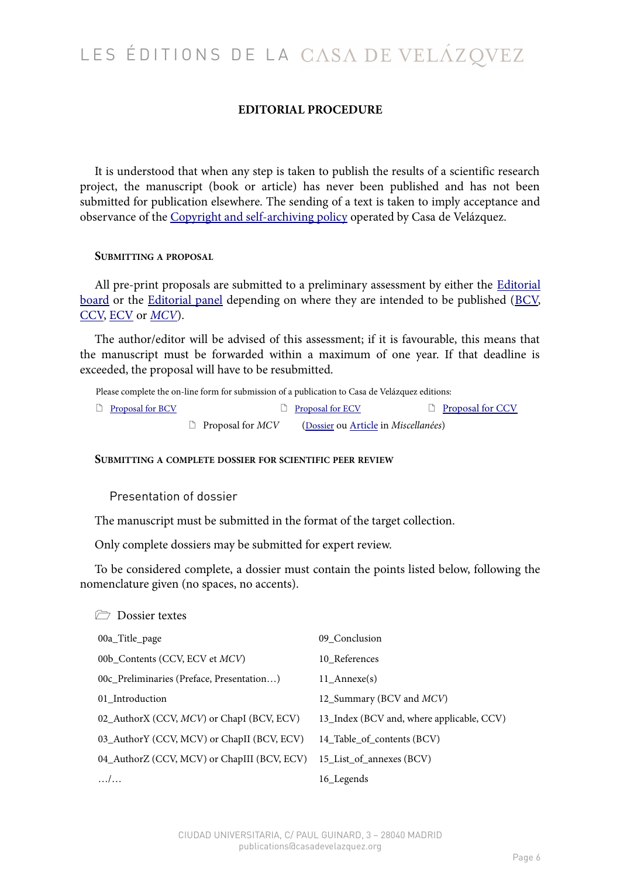# **EDITORIAL PROCEDURE**

It is understood that when any step is taken to publish the results of a scientific research project, the manuscript (book or article) has never been published and has not been submitted for publication elsewhere. The sending of a text is taken to imply acceptance and observance of the [Copyright and self-archiving policy](https://www.casadevelazquez.org/en/publications/copyright-self-archiving-policy/) operated by Casa de Velázquez.

### **SUBMITTING A PROPOSAL**

All pre-print proposals are submitted to a preliminary assessment by either the [Editorial](https://www.casadevelazquez.org/en/publications/casa-de-velazquez-editions/editorial-board/) [board](https://www.casadevelazquez.org/en/publications/casa-de-velazquez-editions/editorial-board/) or the [Editorial panel](https://www.casadevelazquez.org/en/publications/melanges-de-la-casa-de-velazquez/editorial-panel/) depending on where they are intended to be published [\(BCV,](https://www.casadevelazquez.org/en/publications/the-collections/bibliotheque-de-la-casa-de-velazquez/#BCV) [CCV,](https://www.casadevelazquez.org/en/publications/the-collections/bibliotheque-de-la-casa-de-velazquez/#CCV) [ECV](https://www.casadevelazquez.org/en/publications/the-collections/bibliotheque-de-la-casa-de-velazquez/#ECV) or *[MCV](https://www.casadevelazquez.org/en/publications/melanges-de-la-casa-de-velazquez/)*).

The author/editor will be advised of this assessment; if it is favourable, this means that the manuscript must be forwarded within a maximum of one year. If that deadline is exceeded, the proposal will have to be resubmitted.

Please complete the on-line form for submission of a publication to Casa de Velázquez editions:

| $\Box$ Proposal for BCV |                         | $\Box$ Proposal for ECV              | $\Box$ Proposal for CCV |
|-------------------------|-------------------------|--------------------------------------|-------------------------|
|                         | $\Box$ Proposal for MCV | (Dossier ou Article in Miscellanées) |                         |

### **SUBMITTING A COMPLETE DOSSIER FOR SCIENTIFIC PEER REVIEW**

Presentation of dossier

 $D_2$  Dossier textes

The manuscript must be submitted in the format of the target collection.

Only complete dossiers may be submitted for expert review.

To be considered complete, a dossier must contain the points listed below, following the nomenclature given (no spaces, no accents).

| <b>LUSSICI LEXIES</b>                       |                                           |
|---------------------------------------------|-------------------------------------------|
| 00a_Title_page                              | 09_Conclusion                             |
| 00b_Contents (CCV, ECV et MCV)              | 10 References                             |
| 00c_Preliminaries (Preface, Presentation)   | 11 Annexe(s)                              |
| 01 Introduction                             | 12_Summary (BCV and MCV)                  |
| 02_AuthorX (CCV, MCV) or ChapI (BCV, ECV)   | 13_Index (BCV and, where applicable, CCV) |
| 03_AuthorY (CCV, MCV) or ChapII (BCV, ECV)  | 14_Table_of_contents (BCV)                |
| 04_AuthorZ (CCV, MCV) or ChapIII (BCV, ECV) | 15 List of annexes (BCV)                  |
| $\dots/$                                    | 16 Legends                                |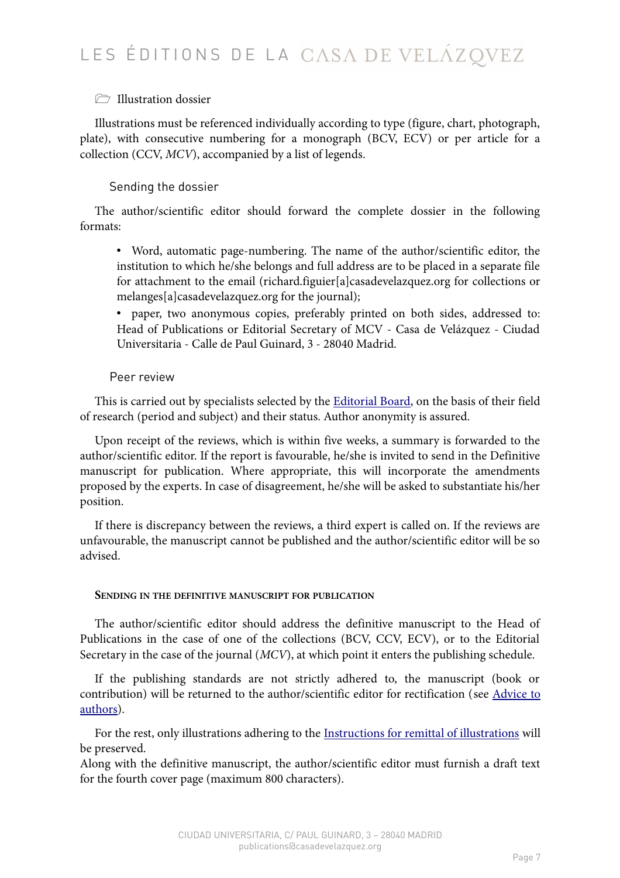# *T* Illustration dossier

Illustrations must be referenced individually according to type (figure, chart, photograph, plate), with consecutive numbering for a monograph (BCV, ECV) or per article for a collection (CCV, *MCV*), accompanied by a list of legends.

# Sending the dossier

The author/scientific editor should forward the complete dossier in the following formats:

• Word, automatic page-numbering. The name of the author/scientific editor, the institution to which he/she belongs and full address are to be placed in a separate file for attachment to the email (richard.figuier[a]casadevelazquez.org for collections or melanges[a]casadevelazquez.org for the journal);

• paper, two anonymous copies, preferably printed on both sides, addressed to: Head of Publications or Editorial Secretary of MCV - Casa de Velázquez - Ciudad Universitaria - Calle de Paul Guinard, 3 - 28040 Madrid.

# Peer review

This is carried out by specialists selected by the [Editorial Board,](https://www.casadevelazquez.org/en/publications/casa-de-velazquez-editions/editorial-board/) on the basis of their field of research (period and subject) and their status. Author anonymity is assured.

Upon receipt of the reviews, which is within five weeks, a summary is forwarded to the author/scientific editor. If the report is favourable, he/she is invited to send in the Definitive manuscript for publication. Where appropriate, this will incorporate the amendments proposed by the experts. In case of disagreement, he/she will be asked to substantiate his/her position.

If there is discrepancy between the reviews, a third expert is called on. If the reviews are unfavourable, the manuscript cannot be published and the author/scientific editor will be so advised.

# **SENDING IN THE DEFINITIVE MANUSCRIPT FOR PUBLICATION**

The author/scientific editor should address the definitive manuscript to the Head of Publications in the case of one of the collections (BCV, CCV, ECV), or to the Editorial Secretary in the case of the journal (*MCV*), at which point it enters the publishing schedule.

If the publishing standards are not strictly adhered to, the manuscript (book or contribution) will be returned to the author/scientific editor for rectification (see [Advice to](https://www.casadevelazquez.org/en/publications/advice-to-authors/composition/) [authors\)](https://www.casadevelazquez.org/en/publications/advice-to-authors/composition/).

For the rest, only illustrations adhering to the <u>Instructions for remittal of illustrations</u> will be preserved.

Along with the definitive manuscript, the author/scientific editor must furnish a draft text for the fourth cover page (maximum 800 characters).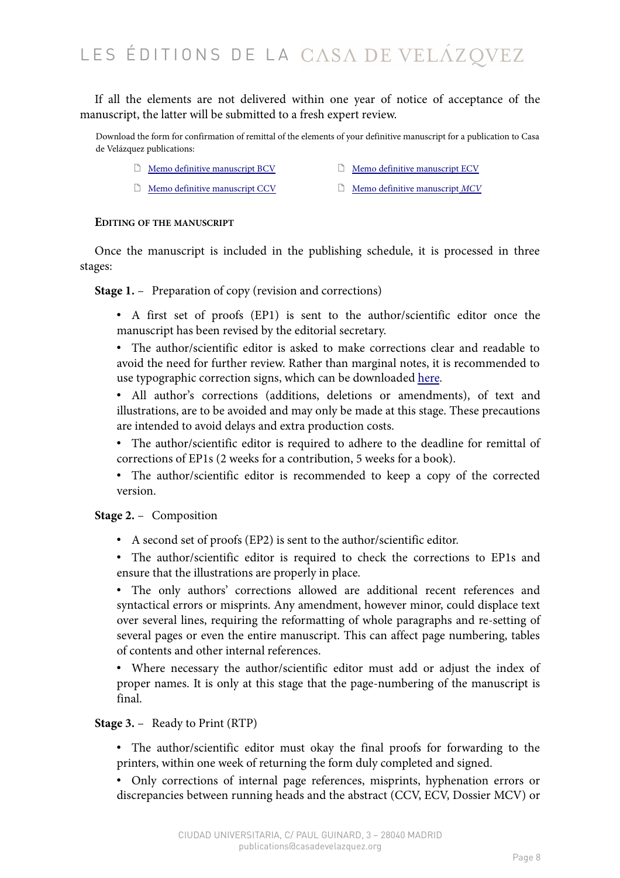If all the elements are not delivered within one year of notice of acceptance of the manuscript, the latter will be submitted to a fresh expert review.

Download the form for confirmation of remittal of the elements of your definitive manuscript for a publication to Casa de Velázquez publications:

- $\Box$  [Memo definitive manuscript BCV](https://www.casadevelazquez.org/fileadmin/fichiers/publicaciones/Normes_annexes/EdCVZ_EN_Memo_BCV.pdf)  $\Box$  [Memo definitive manuscript ECV](https://www.casadevelazquez.org/fileadmin/fichiers/publicaciones/Normes_annexes/EdCVZ_EN_Memo_ECV.pdf)
	-
- 
- [Memo definitive manuscript CCV](https://www.casadevelazquez.org/fileadmin/fichiers/publicaciones/Normes_annexes/EdCVZ_EN_Memo_CCV.pdf) [Memo definitive manuscript](https://www.casadevelazquez.org/fileadmin/fichiers/publicaciones/Normes_annexes/EdCVZ_EN_Memo_MCV.pdf) *[MCV](https://www.casadevelazquez.org/fileadmin/fichiers/publicaciones/Normes_annexes/EdCVZ_EN_Memo_MCV.pdf)*

### **EDITING OF THE MANUSCRIPT**

Once the manuscript is included in the publishing schedule, it is processed in three stages:

**Stage 1.** – Preparation of copy (revision and corrections)

- A first set of proofs (EP1) is sent to the author/scientific editor once the manuscript has been revised by the editorial secretary.
- The author/scientific editor is asked to make corrections clear and readable to avoid the need for further review. Rather than marginal notes, it is recommended to use typographic correction signs, which can be downloaded [here.](https://www.casadevelazquez.org/fileadmin/fichiers/publicaciones/Normes_annexes/MEMENTO_CORRECTION_OK.jpg)
- All author's corrections (additions, deletions or amendments), of text and illustrations, are to be avoided and may only be made at this stage. These precautions are intended to avoid delays and extra production costs.
- The author/scientific editor is required to adhere to the deadline for remittal of corrections of EP1s (2 weeks for a contribution, 5 weeks for a book).
- The author/scientific editor is recommended to keep a copy of the corrected version.

### **Stage 2.** — Composition

- A second set of proofs (EP2) is sent to the author/scientific editor.
- The author/scientific editor is required to check the corrections to EP1s and ensure that the illustrations are properly in place.
- The only authors' corrections allowed are additional recent references and syntactical errors or misprints. Any amendment, however minor, could displace text over several lines, requiring the reformatting of whole paragraphs and re-setting of several pages or even the entire manuscript. This can affect page numbering, tables of contents and other internal references.

• Where necessary the author/scientific editor must add or adjust the index of proper names. It is only at this stage that the page-numbering of the manuscript is final.

### **Stage 3.** — Ready to Print (RTP)

- The author/scientific editor must okay the final proofs for forwarding to the printers, within one week of returning the form duly completed and signed.
- Only corrections of internal page references, misprints, hyphenation errors or discrepancies between running heads and the abstract (CCV, ECV, Dossier MCV) or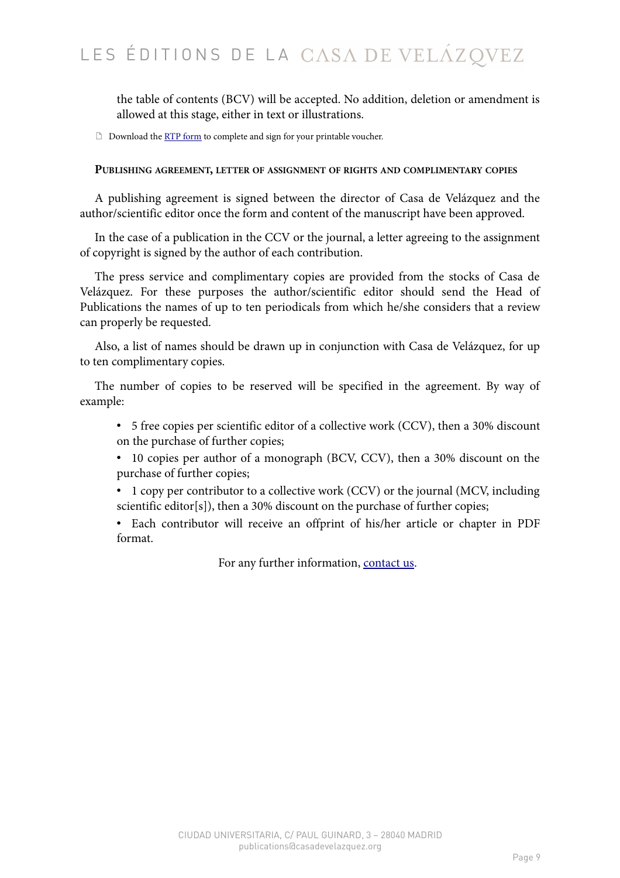the table of contents (BCV) will be accepted. No addition, deletion or amendment is allowed at this stage, either in text or illustrations.

Download the [RTP form](https://www.casadevelazquez.org/fileadmin/fichiers/publicaciones/Normes_annexes/EdCVZ_BAT_eng_por.pdf) to complete and sign for your printable voucher.

### **PUBLISHING AGREEMENT, LETTER OF ASSIGNMENT OF RIGHTS AND COMPLIMENTARY COPIES**

A publishing agreement is signed between the director of Casa de Velázquez and the author/scientific editor once the form and content of the manuscript have been approved.

In the case of a publication in the CCV or the journal, a letter agreeing to the assignment of copyright is signed by the author of each contribution.

The press service and complimentary copies are provided from the stocks of Casa de Velázquez. For these purposes the author/scientific editor should send the Head of Publications the names of up to ten periodicals from which he/she considers that a review can properly be requested.

Also, a list of names should be drawn up in conjunction with Casa de Velázquez, for up to ten complimentary copies.

The number of copies to be reserved will be specified in the agreement. By way of example:

- 5 free copies per scientific editor of a collective work (CCV), then a 30% discount on the purchase of further copies;
- 10 copies per author of a monograph (BCV, CCV), then a 30% discount on the purchase of further copies;
- 1 copy per contributor to a collective work (CCV) or the journal (MCV, including scientific editor[s]), then a 30% discount on the purchase of further copies;
- Each contributor will receive an offprint of his/her article or chapter in PDF format.

For any further information, [contact us.](https://www.casadevelazquez.org/en/home/presentation/contact-catherine-aubert/)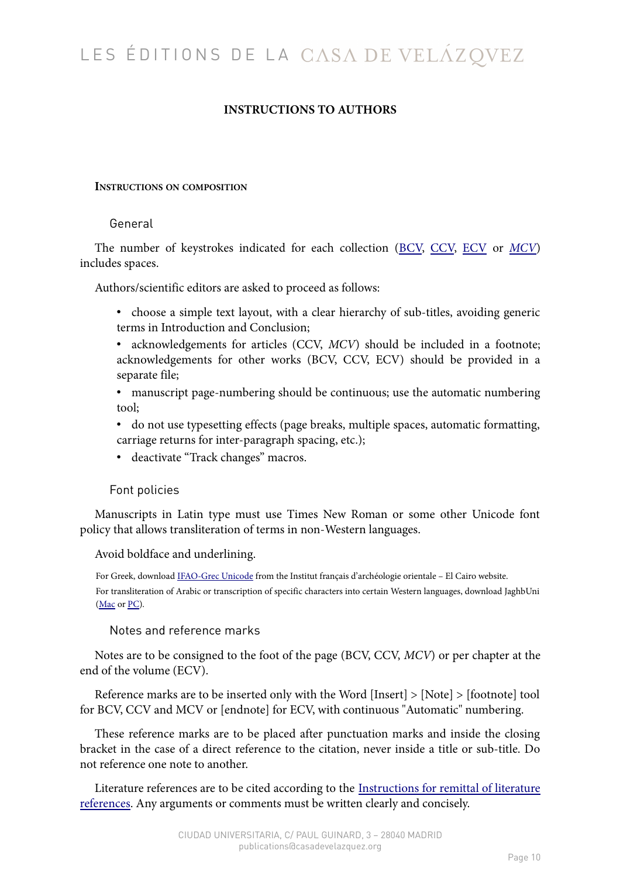# **INSTRUCTIONS TO AUTHORS**

## **INSTRUCTIONS ON COMPOSITION**

# General

The number of keystrokes indicated for each collection [\(BCV,](https://www.casadevelazquez.org/en/publications/the-collections/bibliotheque-de-la-casa-de-velazquez/#BCV) [CCV,](https://www.casadevelazquez.org/en/publications/the-collections/bibliotheque-de-la-casa-de-velazquez/#CCV) [ECV](https://www.casadevelazquez.org/en/publications/the-collections/bibliotheque-de-la-casa-de-velazquez/#ECV) or *[MCV](https://www.casadevelazquez.org/en/publications/melanges-de-la-casa-de-velazquez/)*) includes spaces.

Authors/scientific editors are asked to proceed as follows:

- choose a simple text layout, with a clear hierarchy of sub-titles, avoiding generic terms in Introduction and Conclusion;
- acknowledgements for articles (CCV, *MCV*) should be included in a footnote; acknowledgements for other works (BCV, CCV, ECV) should be provided in a separate file;
- manuscript page-numbering should be continuous; use the automatic numbering tool;
- do not use typesetting effects (page breaks, multiple spaces, automatic formatting, carriage returns for inter-paragraph spacing, etc.);
- deactivate "Track changes" macros.

## Font policies

Manuscripts in Latin type must use Times New Roman or some other Unicode font policy that allows transliteration of terms in non-Western languages.

Avoid boldface and underlining.

For Greek, download [IFAO-Grec Unicode](http://www.ifao.egnet.net/publications/outils/polices/#grec) from the Institut français d'archéologie orientale – El Cairo website. For transliteration of Arabic or transcription of specific characters into certain Western languages, download JaghbUni [\(Mac](https://www.casadevelazquez.org/fileadmin/fichiers/publicaciones/Normes_annexes/JaghbUni.zip) or [PC\)](https://www.casadevelazquez.org/fileadmin/fichiers/publicaciones/Normes_annexes/JaghbUniWin.zip).

Notes and reference marks

Notes are to be consigned to the foot of the page (BCV, CCV, *MCV*) or per chapter at the end of the volume (ECV).

Reference marks are to be inserted only with the Word [Insert] > [Note] > [footnote] tool for BCV, CCV and MCV or [endnote] for ECV, with continuous "Automatic" numbering.

These reference marks are to be placed after punctuation marks and inside the closing bracket in the case of a direct reference to the citation, never inside a title or sub-title. Do not reference one note to another.

Literature references are to be cited according to the [Instructions for remittal of literature](https://www.casadevelazquez.org/en/publications/advice-to-authors/composition/#c3570) [references.](https://www.casadevelazquez.org/en/publications/advice-to-authors/composition/#c3570) Any arguments or comments must be written clearly and concisely.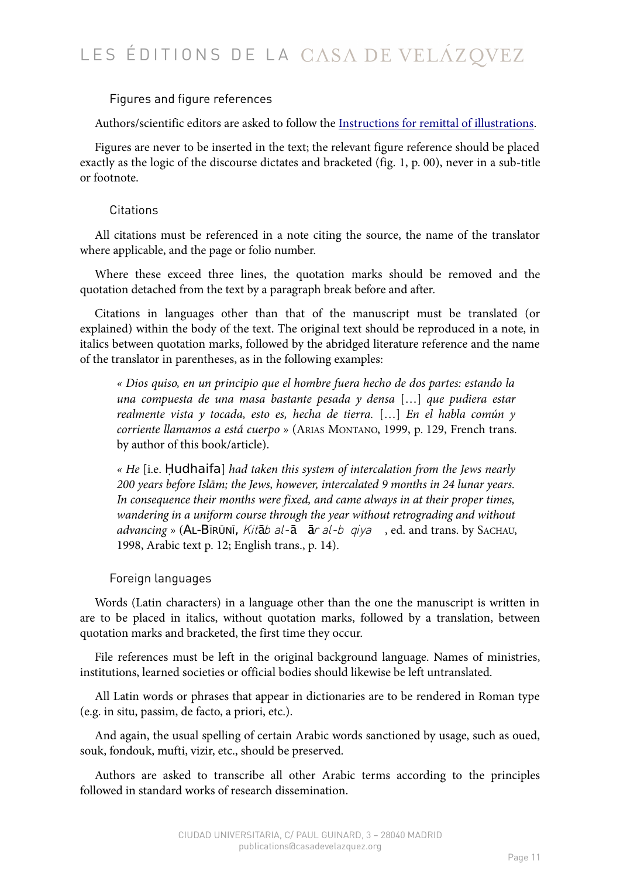# Figures and figure references

Authors/scientific editors are asked to follow the [Instructions for remittal of illustrations.](https://www.casadevelazquez.org/en/publications/advice-to-authors/composition/#NormesILL)

Figures are never to be inserted in the text; the relevant figure reference should be placed exactly as the logic of the discourse dictates and bracketed (fig. 1, p. 00), never in a sub-title or footnote.

# **Citations**

All citations must be referenced in a note citing the source, the name of the translator where applicable, and the page or folio number.

Where these exceed three lines, the quotation marks should be removed and the quotation detached from the text by a paragraph break before and after.

Citations in languages other than that of the manuscript must be translated (or explained) within the body of the text. The original text should be reproduced in a note, in italics between quotation marks, followed by the abridged literature reference and the name of the translator in parentheses, as in the following examples:

*« Dios quiso, en un principio que el hombre fuera hecho de dos partes: estando la una compuesta de una masa bastante pesada y densa* […] *que pudiera estar realmente vista y tocada, esto es, hecha de tierra.* […] *En el habla común y corriente llamamos a está cuerpo »* (ARIAS MONTANO, 1999, p. 129, French trans. by author of this book/article).

*« He* [i.e. Ḥudhaifa] *had taken this system of intercalation from the Jews nearly 200 years before Islām; the Jews, however, intercalated 9 months in 24 lunar years. In consequence their months were fixed, and came always in at their proper times, wandering in a uniform course through the year without retrograding and without* advancing » (AL-BĪRŪNĪ, *Kitāb al-ā ār al-b qiya*, ed. and trans. by SACHAU, 1998, Arabic text p. 12; English trans., p. 14).

# Foreign languages

Words (Latin characters) in a language other than the one the manuscript is written in are to be placed in italics, without quotation marks, followed by a translation, between quotation marks and bracketed, the first time they occur.

File references must be left in the original background language. Names of ministries, institutions, learned societies or official bodies should likewise be left untranslated.

All Latin words or phrases that appear in dictionaries are to be rendered in Roman type (e.g. in situ, passim, de facto, a priori, etc.).

And again, the usual spelling of certain Arabic words sanctioned by usage, such as oued, souk, fondouk, mufti, vizir, etc., should be preserved.

Authors are asked to transcribe all other Arabic terms according to the principles followed in standard works of research dissemination.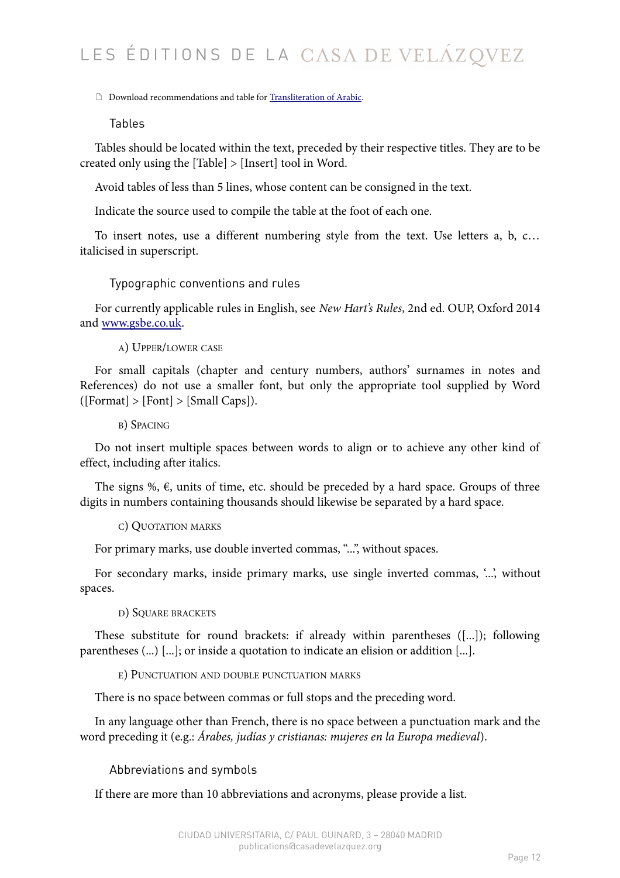Download recommendations and table for [Transliteration of Arabic.](https://www.casadevelazquez.org/fileadmin/fichiers/publicaciones/Normes_annexes/EdCVZ_EN_ArabicTransTable.pdf)

Tables

Tables should be located within the text, preceded by their respective titles. They are to be created only using the [Table] > [Insert] tool in Word.

Avoid tables of less than 5 lines, whose content can be consigned in the text.

Indicate the source used to compile the table at the foot of each one.

To insert notes, use a different numbering style from the text. Use letters a, b, c… italicised in superscript.

Typographic conventions and rules

For currently applicable rules in English, see *New Hart's Rules*, 2nd ed. OUP, Oxford 2014 and [www.gsbe.co.uk.](http://www.gsbe.co.uk/)

A) UPPER/LOWER CASE

For small capitals (chapter and century numbers, authors' surnames in notes and References) do not use a smaller font, but only the appropriate tool supplied by Word  $([Format] > [Font] > [Small Caps]).$ 

B) SPACING

Do not insert multiple spaces between words to align or to achieve any other kind of effect, including after italics.

The signs %,  $\epsilon$ , units of time, etc. should be preceded by a hard space. Groups of three digits in numbers containing thousands should likewise be separated by a hard space.

C) QUOTATION MARKS

For primary marks, use double inverted commas, "...", without spaces.

For secondary marks, inside primary marks, use single inverted commas, '...', without spaces.

D) SQUARE BRACKETS

These substitute for round brackets: if already within parentheses ([...]); following parentheses (...) [...]; or inside a quotation to indicate an elision or addition [...].

E) PUNCTUATION AND DOUBLE PUNCTUATION MARKS

There is no space between commas or full stops and the preceding word.

In any language other than French, there is no space between a punctuation mark and the word preceding it (e.g.: *Árabes, judías y cristianas: mujeres en la Europa medieval*).

Abbreviations and symbols

If there are more than 10 abbreviations and acronyms, please provide a list.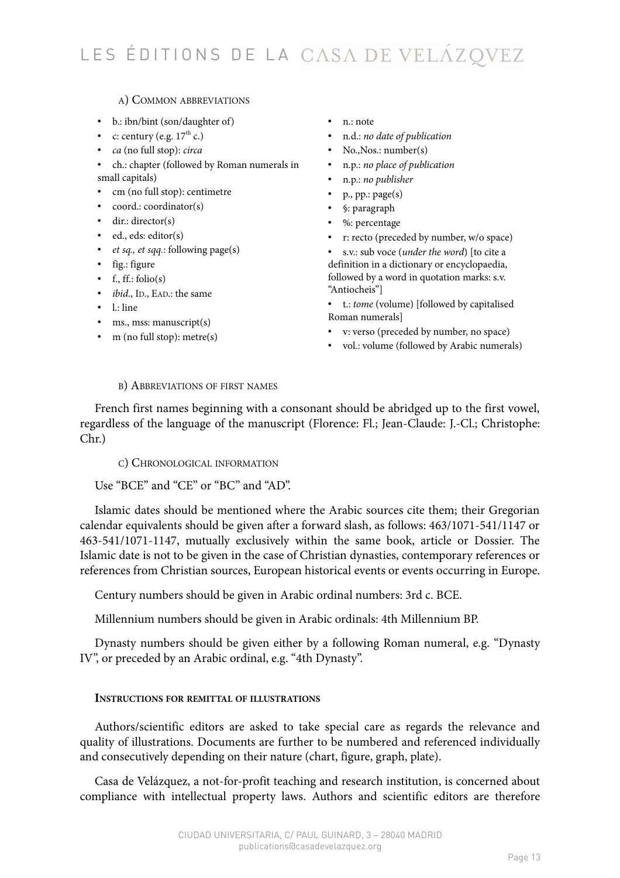# A) COMMON ABBREVIATIONS

- b.: ibn/bint (son/daughter of)
- c: century (e.g.  $17<sup>th</sup>$  c.)
- *ca* (no full stop): *circa*
- ch.: chapter (followed by Roman numerals in small capitals)
- cm (no full stop): centimetre
- coord.: coordinator(s)
- dir.: director(s)
- ed., eds: editor(s)
- *et sq., et sqq.*: following page(s)
- fig.: figure
- $\bullet$  f., ff.: folio(s)
- *ibid*., ID., EAD.: the same
- $\bullet$  1.: line
- ms., mss: manuscript(s)
- m (no full stop): metre(s)
- n.: note
- n.d.: *no date of publication*
- No., Nos.: number(s)
- n.p.: *no place of publication*
- n.p.: *no publisher*
- p., pp.: page(s)
- §: paragraph
- %: percentage
- r: recto (preceded by number, w/o space)
- s.v.: sub voce (*under the word*) [to cite a definition in a dictionary or encyclopaedia, followed by a word in quotation marks: s.v. "Antiocheis"]
- t.: *tome* (volume) [followed by capitalised Roman numerals]
- v: verso (preceded by number, no space)
- vol.: volume (followed by Arabic numerals)

### B) ABBREVIATIONS OF FIRST NAMES

French first names beginning with a consonant should be abridged up to the first vowel, regardless of the language of the manuscript (Florence: Fl.; Jean-Claude: J.-Cl.; Christophe: Chr.)

C) CHRONOLOGICAL INFORMATION

Use "BCE" and "CE" or "BC" and "AD".

Islamic dates should be mentioned where the Arabic sources cite them; their Gregorian calendar equivalents should be given after a forward slash, as follows: 463/1071-541/1147 or 463-541/1071-1147, mutually exclusively within the same book, article or Dossier. The Islamic date is not to be given in the case of Christian dynasties, contemporary references or references from Christian sources, European historical events or events occurring in Europe.

Century numbers should be given in Arabic ordinal numbers: 3rd c. BCE.

Millennium numbers should be given in Arabic ordinals: 4th Millennium BP.

Dynasty numbers should be given either by a following Roman numeral, e.g. "Dynasty IV", or preceded by an Arabic ordinal, e.g. "4th Dynasty".

## **INSTRUCTIONS FOR REMITTAL OF ILLUSTRATIONS**

Authors/scientific editors are asked to take special care as regards the relevance and quality of illustrations. Documents are further to be numbered and referenced individually and consecutively depending on their nature (chart, figure, graph, plate).

Casa de Velázquez, a not-for-profit teaching and research institution, is concerned about compliance with intellectual property laws. Authors and scientific editors are therefore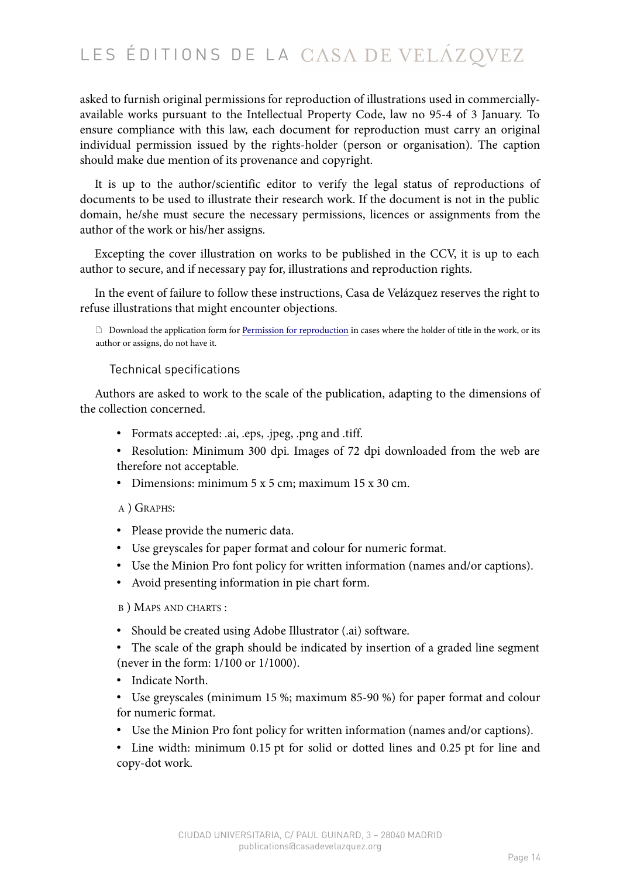asked to furnish original permissions for reproduction of illustrations used in commerciallyavailable works pursuant to the Intellectual Property Code, law no 95-4 of 3 January. To ensure compliance with this law, each document for reproduction must carry an original individual permission issued by the rights-holder (person or organisation). The caption should make due mention of its provenance and copyright.

It is up to the author/scientific editor to verify the legal status of reproductions of documents to be used to illustrate their research work. If the document is not in the public domain, he/she must secure the necessary permissions, licences or assignments from the author of the work or his/her assigns.

Excepting the cover illustration on works to be published in the CCV, it is up to each author to secure, and if necessary pay for, illustrations and reproduction rights.

In the event of failure to follow these instructions, Casa de Velázquez reserves the right to refuse illustrations that might encounter objections.

 Download the application form for [Permission for reproduction](https://www.casadevelazquez.org/fileadmin/fichiers/publicaciones/Normes_annexes/EdCVZ_EN_PermissionForReproduction.pdf) in cases where the holder of title in the work, or its author or assigns, do not have it.

## Technical specifications

Authors are asked to work to the scale of the publication, adapting to the dimensions of the collection concerned.

- Formats accepted: .ai, .eps, .jpeg, .png and .tiff.
- Resolution: Minimum 300 dpi. Images of 72 dpi downloaded from the web are therefore not acceptable.
- Dimensions: minimum 5 x 5 cm; maximum 15 x 30 cm.

## A ) GRAPHS:

- Please provide the numeric data.
- Use greyscales for paper format and colour for numeric format.
- Use the Minion Pro font policy for written information (names and/or captions).
- Avoid presenting information in pie chart form.

B ) MAPS AND CHARTS :

- Should be created using Adobe Illustrator (.ai) software.
- The scale of the graph should be indicated by insertion of a graded line segment (never in the form: 1/100 or 1/1000).
- Indicate North.
- Use greyscales (minimum 15 %; maximum 85-90 %) for paper format and colour for numeric format.
- Use the Minion Pro font policy for written information (names and/or captions).
- Line width: minimum 0.15 pt for solid or dotted lines and 0.25 pt for line and copy-dot work.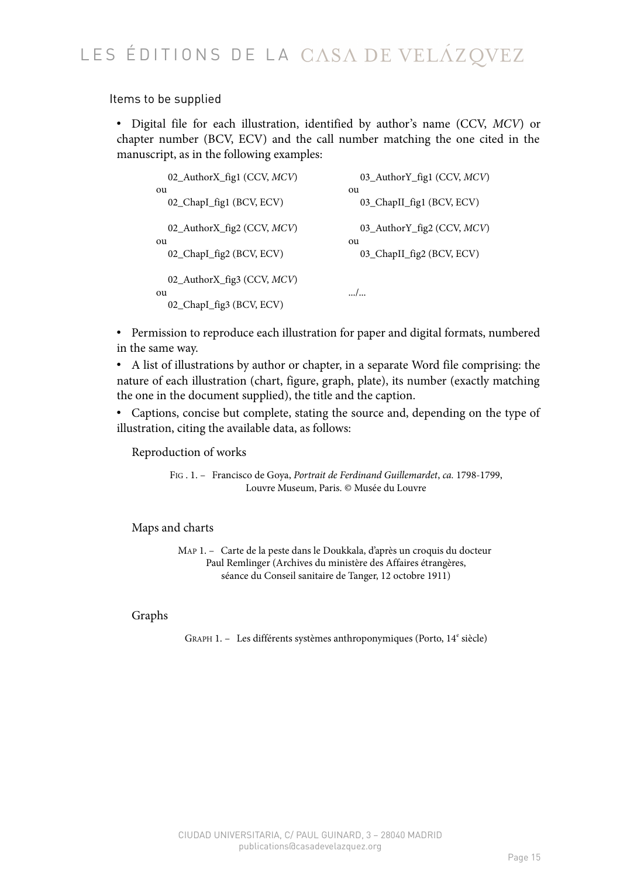Items to be supplied

• Digital file for each illustration, identified by author's name (CCV, *MCV*) or chapter number (BCV, ECV) and the call number matching the one cited in the manuscript, as in the following examples:

| 02_AuthorX_fig1 (CCV, MCV)                                           | 03_AuthorY_fig1 (CCV, MCV) |
|----------------------------------------------------------------------|----------------------------|
| ou                                                                   | ou                         |
| 02_ChapI_fig1 (BCV, ECV)                                             | 03_ChapII_fig1 (BCV, ECV)  |
| 02_AuthorX_fig2 (CCV, MCV)                                           | 03_AuthorY_fig2 (CCV, MCV) |
| ou                                                                   | ou                         |
| 02_ChapI_fig2 (BCV, ECV)                                             | 03_ChapII_fig2 (BCV, ECV)  |
| 02_AuthorX_fig3 (CCV, <i>MCV</i> )<br>ou<br>02_ChapI_fig3 (BCV, ECV) | /                          |

• Permission to reproduce each illustration for paper and digital formats, numbered in the same way.

• A list of illustrations by author or chapter, in a separate Word file comprising: the nature of each illustration (chart, figure, graph, plate), its number (exactly matching the one in the document supplied), the title and the caption.

• Captions, concise but complete, stating the source and, depending on the type of illustration, citing the available data, as follows:

Reproduction of works

FIG . 1. — Francisco de Goya, *Portrait de Ferdinand Guillemardet*, *ca.* 1798-1799, Louvre Museum, Paris. © Musée du Louvre

Maps and charts

MAP 1. — Carte de la peste dans le Doukkala, d'après un croquis du docteur Paul Remlinger (Archives du ministère des Affaires étrangères, séance du Conseil sanitaire de Tanger, 12 octobre 1911)

# Graphs

GRAPH 1. - Les différents systèmes anthroponymiques (Porto, 14<sup>e</sup> siècle)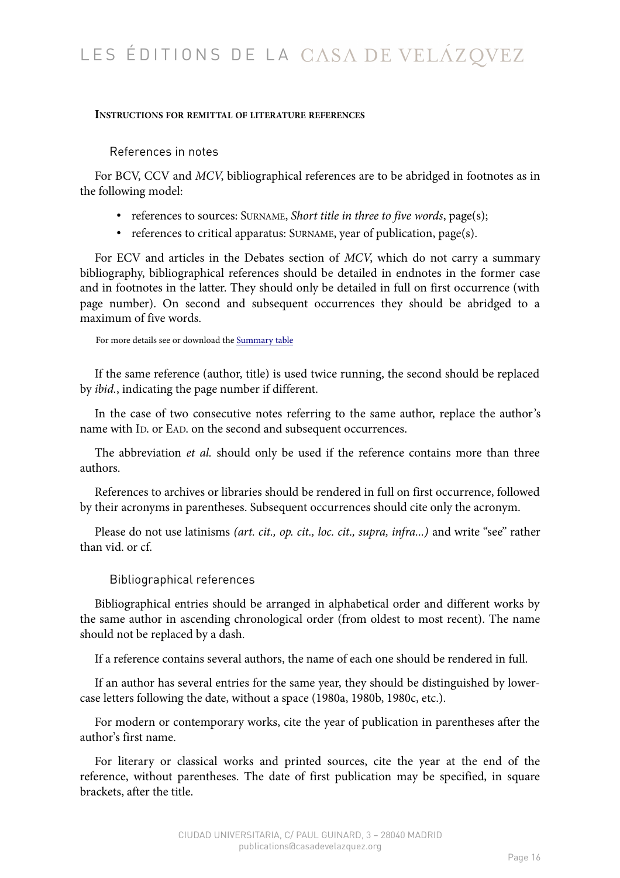## **INSTRUCTIONS FOR REMITTAL OF LITERATURE REFERENCES**

References in notes

For BCV, CCV and *MCV*, bibliographical references are to be abridged in footnotes as in the following model:

- references to sources: SURNAME, *Short title in three to five words*, page(s);
- references to critical apparatus: SURNAME, year of publication, page(s).

For ECV and articles in the Debates section of *MCV*, which do not carry a summary bibliography, bibliographical references should be detailed in endnotes in the former case and in footnotes in the latter. They should only be detailed in full on first occurrence (with page number). On second and subsequent occurrences they should be abridged to a maximum of five words.

For more details see or download the [Summary table](https://www.casadevelazquez.org/en/publications/advice-to-authors/bibliographical-references/#TablRec)

If the same reference (author, title) is used twice running, the second should be replaced by *ibid.*, indicating the page number if different.

In the case of two consecutive notes referring to the same author, replace the author's name with ID. or EAD. on the second and subsequent occurrences.

The abbreviation *et al.* should only be used if the reference contains more than three authors.

References to archives or libraries should be rendered in full on first occurrence, followed by their acronyms in parentheses. Subsequent occurrences should cite only the acronym.

Please do not use latinisms *(art. cit., op. cit., loc. cit., supra, infra...)* and write "see" rather than vid. or cf.

# Bibliographical references

Bibliographical entries should be arranged in alphabetical order and different works by the same author in ascending chronological order (from oldest to most recent). The name should not be replaced by a dash.

If a reference contains several authors, the name of each one should be rendered in full.

If an author has several entries for the same year, they should be distinguished by lowercase letters following the date, without a space (1980a, 1980b, 1980c, etc.).

For modern or contemporary works, cite the year of publication in parentheses after the author's first name.

For literary or classical works and printed sources, cite the year at the end of the reference, without parentheses. The date of first publication may be specified, in square brackets, after the title.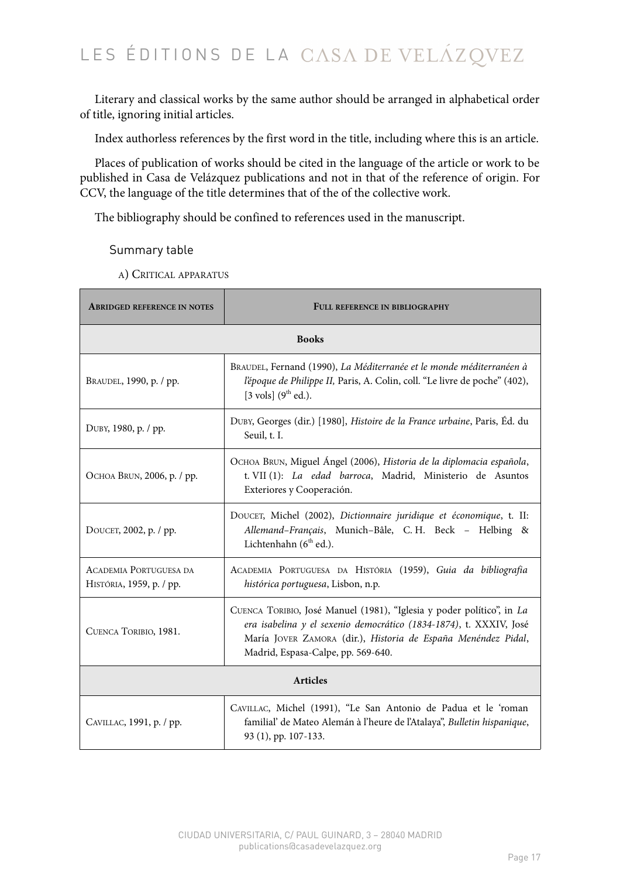Literary and classical works by the same author should be arranged in alphabetical order of title, ignoring initial articles.

Index authorless references by the first word in the title, including where this is an article.

Places of publication of works should be cited in the language of the article or work to be published in Casa de Velázquez publications and not in that of the reference of origin. For CCV, the language of the title determines that of the of the collective work.

The bibliography should be confined to references used in the manuscript.

## Summary table

A) CRITICAL APPARATUS

| <b>ABRIDGED REFERENCE IN NOTES</b>                        | FULL REFERENCE IN BIBLIOGRAPHY                                                                                                                                                                                                                     |  |
|-----------------------------------------------------------|----------------------------------------------------------------------------------------------------------------------------------------------------------------------------------------------------------------------------------------------------|--|
| <b>Books</b>                                              |                                                                                                                                                                                                                                                    |  |
| BRAUDEL, 1990, p. / pp.                                   | BRAUDEL, Fernand (1990), La Méditerranée et le monde méditerranéen à<br>l'époque de Philippe II, Paris, A. Colin, coll. "Le livre de poche" (402),<br>[3 vols] $(9^{th}$ ed.).                                                                     |  |
| DUBY, 1980, p. / pp.                                      | DUBY, Georges (dir.) [1980], Histoire de la France urbaine, Paris, Éd. du<br>Seuil, t. I.                                                                                                                                                          |  |
| Осноа BRUN, 2006, р. / рр.                                | OCHOA BRUN, Miguel Ángel (2006), Historia de la diplomacia española,<br>t. VII (1): La edad barroca, Madrid, Ministerio de Asuntos<br>Exteriores y Cooperación.                                                                                    |  |
| DOUCET, 2002, p. / pp.                                    | DOUCET, Michel (2002), Dictionnaire juridique et économique, t. II:<br>Allemand-Français, Munich-Bâle, C.H. Beck - Helbing &<br>Lichtenhahn (6 <sup>th</sup> ed.).                                                                                 |  |
| <b>ACADEMIA PORTUGUESA DA</b><br>HISTÓRIA, 1959, p. / pp. | ACADEMIA PORTUGUESA DA HISTÓRIA (1959), Guia da bibliografia<br>histórica portuguesa, Lisbon, n.p.                                                                                                                                                 |  |
| CUENCA TORIBIO, 1981.                                     | CUENCA TORIBIO, José Manuel (1981), "Iglesia y poder político", in La<br>era isabelina y el sexenio democrático (1834-1874), t. XXXIV, José<br>María JOVER ZAMORA (dir.), Historia de España Menéndez Pidal,<br>Madrid, Espasa-Calpe, pp. 569-640. |  |
| <b>Articles</b>                                           |                                                                                                                                                                                                                                                    |  |
| CAVILLAC, 1991, p. / pp.                                  | CAVILLAC, Michel (1991), "Le San Antonio de Padua et le 'roman<br>familial' de Mateo Alemán à l'heure de l'Atalaya", Bulletin hispanique,<br>93 (1), pp. 107-133.                                                                                  |  |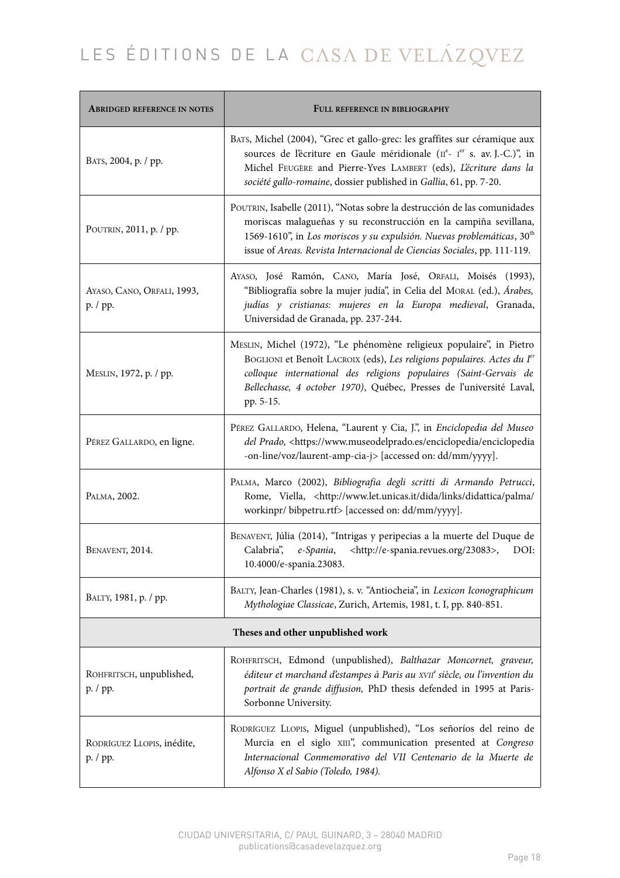| <b>ABRIDGED REFERENCE IN NOTES</b>     | FULL REFERENCE IN BIBLIOGRAPHY                                                                                                                                                                                                                                                                                 |  |
|----------------------------------------|----------------------------------------------------------------------------------------------------------------------------------------------------------------------------------------------------------------------------------------------------------------------------------------------------------------|--|
| BATS, 2004, p. / pp.                   | BATS, Michel (2004), "Grec et gallo-grec: les graffites sur céramique aux<br>sources de l'écriture en Gaule méridionale (IIe- 1er s. av. J.-C.)", in<br>Michel FEUGÈRE and Pierre-Yves LAMBERT (eds), L'écriture dans la<br>société gallo-romaine, dossier published in Gallia, 61, pp. 7-20.                  |  |
| POUTRIN, 2011, p. / pp.                | POUTRIN, Isabelle (2011), "Notas sobre la destrucción de las comunidades<br>moriscas malagueñas y su reconstrucción en la campiña sevillana,<br>1569-1610", in Los moriscos y su expulsión. Nuevas problemáticas, 30 <sup>th</sup><br>issue of Areas. Revista Internacional de Ciencias Sociales, pp. 111-119. |  |
| AYASO, CANO, ORFALI, 1993,<br>p. / pp. | AYASO, José Ramón, CANO, María José, ORFALI, Moisés (1993),<br>"Bibliografía sobre la mujer judía", in Celia del MORAL (ed.), Árabes,<br>judías y cristianas: mujeres en la Europa medieval, Granada,<br>Universidad de Granada, pp. 237-244.                                                                  |  |
| MESLIN, 1972, p. / pp.                 | MESLIN, Michel (1972), "Le phénomène religieux populaire", in Pietro<br>BOGLIONI et Benoît LACROIX (eds), Les religions populaires. Actes du Ier<br>colloque international des religions populaires (Saint-Gervais de<br>Bellechasse, 4 october 1970), Québec, Presses de l'université Laval,<br>pp. 5-15.     |  |
| PÉREZ GALLARDO, en ligne.              | PÉREZ GALLARDO, Helena, "Laurent y Cia, J.", in Enciclopedia del Museo<br>del Prado, <https: enciclopedia="" enciclopedia<br="" www.museodelprado.es="">-on-line/voz/laurent-amp-cia-j&gt; [accessed on: dd/mm/yyyy].</https:>                                                                                 |  |
| PALMA, 2002.                           | PALMA, Marco (2002), Bibliografia degli scritti di Armando Petrucci,<br>Rome, Viella, <http: <br="" dida="" didattica="" links="" palma="" www.let.unicas.it="">workinpr/bibpetru.rtf&gt; [accessed on: dd/mm/yyyy].</http:>                                                                                   |  |
| BENAVENT, 2014.                        | BENAVENT, Júlia (2014), "Intrigas y peripecias a la muerte del Duque de<br><http: 23083="" e-spania.revues.org="">,<br/>Calabria", e-Spania,<br/>DOI:<br/>10.4000/e-spania.23083.</http:>                                                                                                                      |  |
| ВАLТҮ, 1981, р. / рр.                  | BALTY, Jean-Charles (1981), s. v. "Antiocheia", in Lexicon Iconographicum<br>Mythologiae Classicae, Zurich, Artemis, 1981, t. I, pp. 840-851.                                                                                                                                                                  |  |
| Theses and other unpublished work      |                                                                                                                                                                                                                                                                                                                |  |
| ROHFRITSCH, unpublished,<br>p. / pp.   | ROHFRITSCH, Edmond (unpublished), Balthazar Moncornet, graveur,<br>éditeur et marchand d'estampes à Paris au XVII <sup>e</sup> siècle, ou l'invention du<br>portrait de grande diffusion, PhD thesis defended in 1995 at Paris-<br>Sorbonne University.                                                        |  |
| RODRÍGUEZ LLOPIS, inédite,<br>p. / pp. | RODRÍGUEZ LLOPIS, Miguel (unpublished), "Los señoríos del reino de<br>Murcia en el siglo XIII", communication presented at Congreso<br>Internacional Conmemorativo del VII Centenario de la Muerte de<br>Alfonso X el Sabio (Toledo, 1984).                                                                    |  |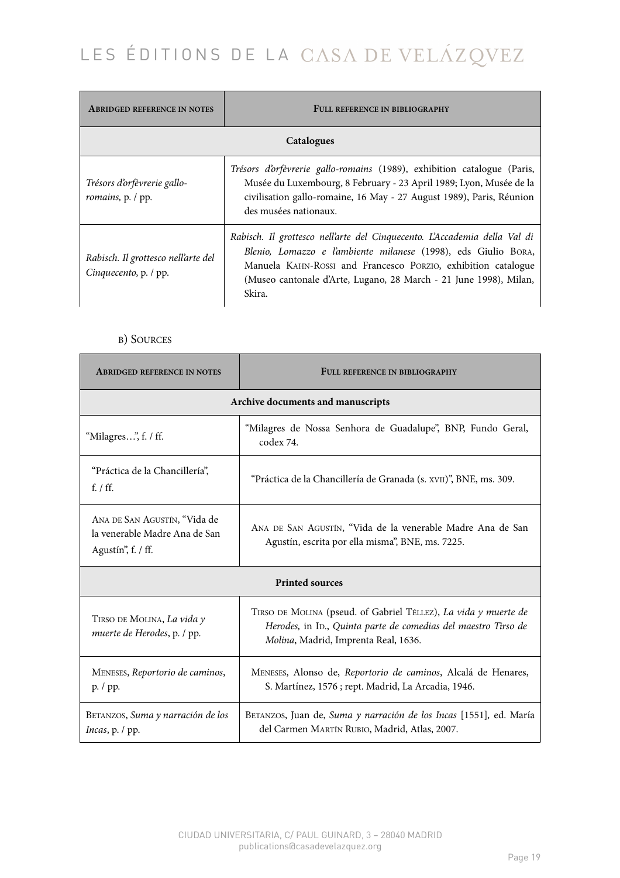| <b>ABRIDGED REFERENCE IN NOTES</b>                           | FULL REFERENCE IN BIBLIOGRAPHY                                                                                                                                                                                                                                                              |  |
|--------------------------------------------------------------|---------------------------------------------------------------------------------------------------------------------------------------------------------------------------------------------------------------------------------------------------------------------------------------------|--|
| Catalogues                                                   |                                                                                                                                                                                                                                                                                             |  |
| Trésors d'orfèvrerie gallo-<br>romains, p. / pp.             | Trésors d'orfèvrerie gallo-romains (1989), exhibition catalogue (Paris,<br>Musée du Luxembourg, 8 February - 23 April 1989; Lyon, Musée de la<br>civilisation gallo-romaine, 16 May - 27 August 1989), Paris, Réunion<br>des musées nationaux.                                              |  |
| Rabisch. Il grottesco nell'arte del<br>Cinquecento, p. / pp. | Rabisch. Il grottesco nell'arte del Cinquecento. L'Accademia della Val di<br>Blenio, Lomazzo e l'ambiente milanese (1998), eds Giulio BORA,<br>Manuela KAHN-ROSSI and Francesco PORZIO, exhibition catalogue<br>(Museo cantonale d'Arte, Lugano, 28 March - 21 June 1998), Milan,<br>Skira. |  |

# B) SOURCES

| <b>ABRIDGED REFERENCE IN NOTES</b>                                                  | FULL REFERENCE IN BIBLIOGRAPHY                                                                                                                                            |  |
|-------------------------------------------------------------------------------------|---------------------------------------------------------------------------------------------------------------------------------------------------------------------------|--|
| Archive documents and manuscripts                                                   |                                                                                                                                                                           |  |
| "Milagres", f. / ff.                                                                | "Milagres de Nossa Senhora de Guadalupe", BNP, Fundo Geral,<br>codex 74.                                                                                                  |  |
| "Práctica de la Chancillería",<br>f. $/$ ff.                                        | "Práctica de la Chancillería de Granada (s. XVII)", BNE, ms. 309.                                                                                                         |  |
| ANA DE SAN AGUSTÍN, "Vida de<br>la venerable Madre Ana de San<br>Agustín", f. / ff. | ANA DE SAN AGUSTÍN, "Vida de la venerable Madre Ana de San<br>Agustín, escrita por ella misma", BNE, ms. 7225.                                                            |  |
| <b>Printed sources</b>                                                              |                                                                                                                                                                           |  |
| TIRSO DE MOLINA, La vida y<br>muerte de Herodes, p. / pp.                           | TIRSO DE MOLINA (pseud. of Gabriel TÉLLEZ), La vida y muerte de<br>Herodes, in ID., Quinta parte de comedias del maestro Tirso de<br>Molina, Madrid, Imprenta Real, 1636. |  |
| MENESES, Reportorio de caminos,<br>p. / pp.                                         | MENESES, Alonso de, Reportorio de caminos, Alcalá de Henares,<br>S. Martínez, 1576 ; rept. Madrid, La Arcadia, 1946.                                                      |  |
| BETANZOS, Suma y narración de los<br>Incas, p. / pp.                                | BETANZOS, Juan de, Suma y narración de los Incas [1551], ed. María<br>del Carmen MARTÍN RUBIO, Madrid, Atlas, 2007.                                                       |  |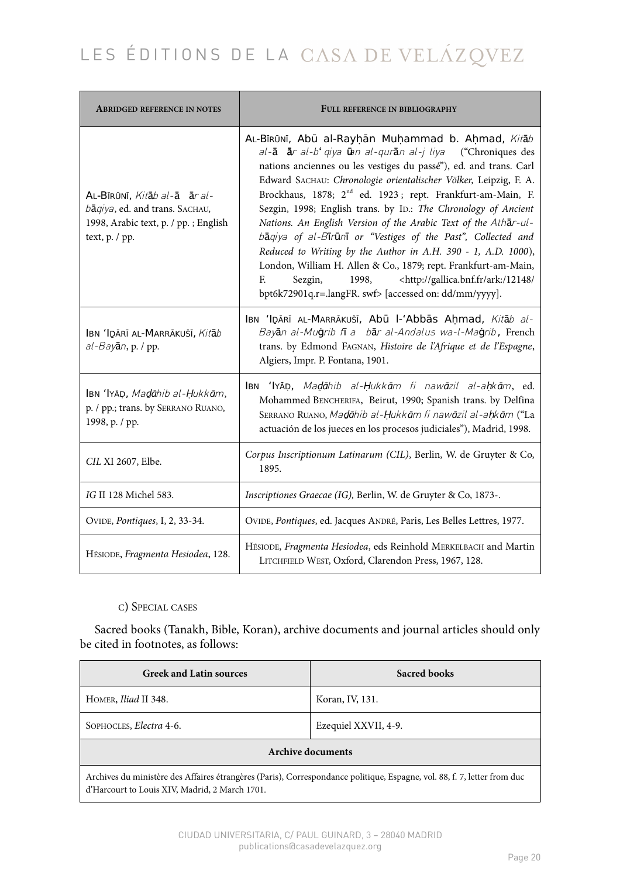| <b>ABRIDGED REFERENCE IN NOTES</b>                                                                                        | FULL REFERENCE IN BIBLIOGRAPHY                                                                                                                                                                                                                                                                                                                                                                                                                                                                                                                                                                                                                                                                                                                                                                                               |  |
|---------------------------------------------------------------------------------------------------------------------------|------------------------------------------------------------------------------------------------------------------------------------------------------------------------------------------------------------------------------------------------------------------------------------------------------------------------------------------------------------------------------------------------------------------------------------------------------------------------------------------------------------------------------------------------------------------------------------------------------------------------------------------------------------------------------------------------------------------------------------------------------------------------------------------------------------------------------|--|
| AL-BIRŪNĪ, Kitāb al-ā ār al-<br>bāqiya, ed. and trans. SACHAU,<br>1998, Arabic text, p. / pp. ; English<br>text, p. / pp. | AL-BīRŪNĪ, Abū al-Rayḥān Muḥammad b. Aḥmad, Kitāb<br>al-ā ār al-b' giya ūn al-qurān al-j liya ("Chroniques des<br>nations anciennes ou les vestiges du passé"), ed. and trans. Carl<br>Edward SACHAU: Chronologie orientalischer Völker, Leipzig, F. A.<br>Brockhaus, 1878; 2 <sup>nd</sup> ed. 1923; rept. Frankfurt-am-Main, F.<br>Sezgin, 1998; English trans. by ID.: The Chronology of Ancient<br>Nations. An English Version of the Arabic Text of the Athar-ul-<br>baqiya of al-Birūni or "Vestiges of the Past", Collected and<br>Reduced to Writing by the Author in A.H. 390 - 1, A.D. 1000),<br>London, William H. Allen & Co., 1879; rept. Frankfurt-am-Main,<br><http: 12148="" <br="" ark:="" gallica.bnf.fr="">F.<br/>Sezgin,<br/>1998,<br/>bpt6k72901q.r=.langFR. swf&gt; [accessed on: dd/mm/yyyy].</http:> |  |
| IBN 'IDĀRĪ AL-MARRĀKUŠĪ, Kitāb<br>$al$ -Bayān, p. / pp.                                                                   | IBN 'IDĀRĪ AL-MARRĀKUŠĪ, Abū I-'Abbās Ahmad, Kitāb al-<br>Bayan al-Mugrib fi a bar al-Andalus wa-l-Magrib, French<br>trans. by Edmond FAGNAN, Histoire de l'Afrique et de l'Espagne,<br>Algiers, Impr. P. Fontana, 1901.                                                                                                                                                                                                                                                                                                                                                                                                                                                                                                                                                                                                     |  |
| IBN 'IYĀD, Madāhib al-Ḥukkām,<br>p. / pp.; trans. by SERRANO RUANO,<br>1998, p. / pp.                                     | IBN 'IYĀD, Madāhib al-Ḥukkām fi nawāzil al-aḥkām, ed.<br>Mohammed BENCHERIFA, Beirut, 1990; Spanish trans. by Delfina<br>SERRANO RUANO, Madāhib al-Hukkām fi nawāzil al-ahkām ("La<br>actuación de los jueces en los procesos judiciales"), Madrid, 1998.                                                                                                                                                                                                                                                                                                                                                                                                                                                                                                                                                                    |  |
| CIL XI 2607, Elbe.                                                                                                        | Corpus Inscriptionum Latinarum (CIL), Berlin, W. de Gruyter & Co,<br>1895.                                                                                                                                                                                                                                                                                                                                                                                                                                                                                                                                                                                                                                                                                                                                                   |  |
| IG II 128 Michel 583.                                                                                                     | Inscriptiones Graecae (IG), Berlin, W. de Gruyter & Co, 1873-.                                                                                                                                                                                                                                                                                                                                                                                                                                                                                                                                                                                                                                                                                                                                                               |  |
| OVIDE, Pontiques, I, 2, 33-34.                                                                                            | OVIDE, Pontiques, ed. Jacques ANDRÉ, Paris, Les Belles Lettres, 1977.                                                                                                                                                                                                                                                                                                                                                                                                                                                                                                                                                                                                                                                                                                                                                        |  |
| HÉSIODE, Fragmenta Hesiodea, 128.                                                                                         | HÉSIODE, Fragmenta Hesiodea, eds Reinhold MERKELBACH and Martin<br>LITCHFIELD WEST, Oxford, Clarendon Press, 1967, 128.                                                                                                                                                                                                                                                                                                                                                                                                                                                                                                                                                                                                                                                                                                      |  |

## C) SPECIAL CASES

Sacred books (Tanakh, Bible, Koran), archive documents and journal articles should only be cited in footnotes, as follows:

| <b>Greek and Latin sources</b>                                                                                                                                             | <b>Sacred books</b>  |  |
|----------------------------------------------------------------------------------------------------------------------------------------------------------------------------|----------------------|--|
| HOMER, Iliad II 348.                                                                                                                                                       | Koran, IV, 131.      |  |
| SOPHOCLES, Electra 4-6.                                                                                                                                                    | Ezequiel XXVII, 4-9. |  |
| <b>Archive documents</b>                                                                                                                                                   |                      |  |
| Archives du ministère des Affaires étrangères (Paris), Correspondance politique, Espagne, vol. 88, f. 7, letter from duc<br>d'Harcourt to Louis XIV, Madrid, 2 March 1701. |                      |  |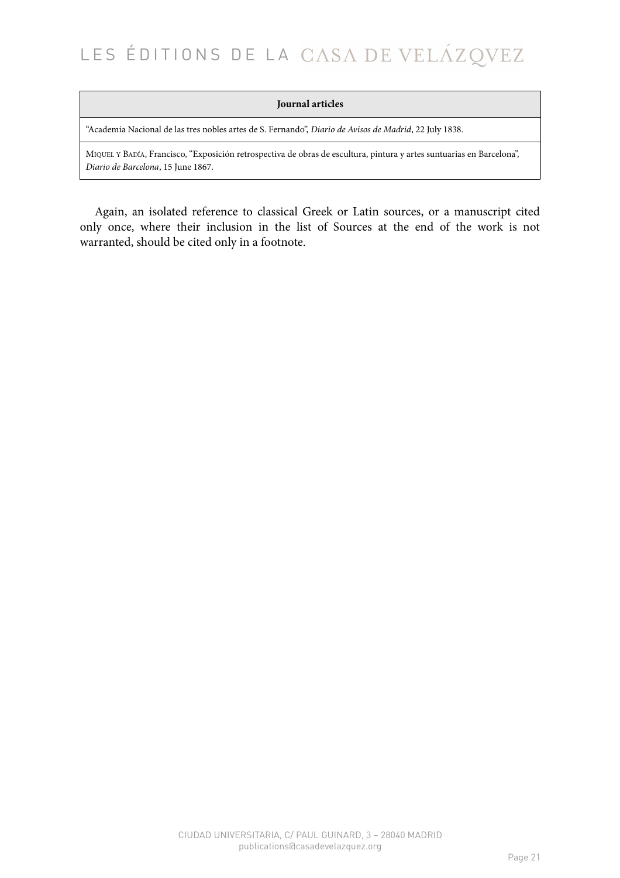### **Journal articles**

"Academia Nacional de las tres nobles artes de S. Fernando", *Diario de Avisos de Madrid*, 22 July 1838.

MIQUEL Y BADÍA, Francisco, "Exposición retrospectiva de obras de escultura, pintura y artes suntuarias en Barcelona", *Diario de Barcelona*, 15 June 1867.

Again, an isolated reference to classical Greek or Latin sources, or a manuscript cited only once, where their inclusion in the list of Sources at the end of the work is not warranted, should be cited only in a footnote.